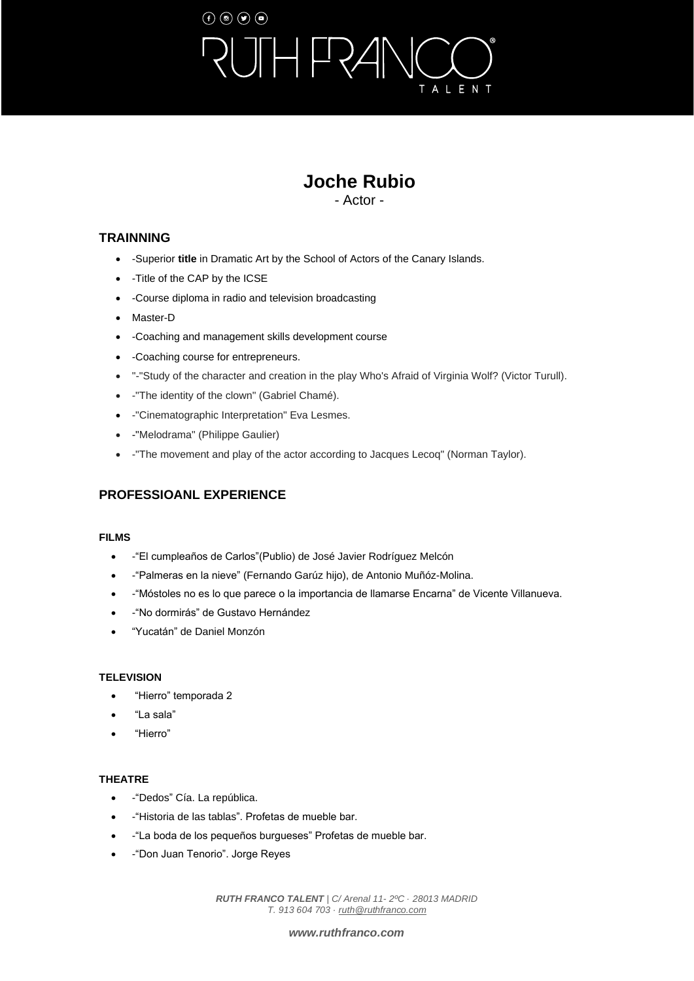# $\left(\mathbf{f}\right) \circledcirc \left(\mathbf{g}\right) \circledcirc$  $\overline{\phantom{0}}$ ALENT

# **Joche Rubio**

- Actor -

## **TRAINNING**

- -Superior **title** in Dramatic Art by the School of Actors of the Canary Islands.
- -Title of the CAP by the ICSE
- -Course diploma in radio and television broadcasting
- Master-D
- -Coaching and management skills development course
- -Coaching course for entrepreneurs.
- "-"Study of the character and creation in the play Who's Afraid of Virginia Wolf? (Victor Turull).
- -"The identity of the clown" (Gabriel Chamé).
- -"Cinematographic Interpretation" Eva Lesmes.
- -"Melodrama" (Philippe Gaulier)
- -"The movement and play of the actor according to Jacques Lecoq" (Norman Taylor).

# **PROFESSIOANL EXPERIENCE**

#### **FILMS**

- -"El cumpleaños de Carlos"(Publio) de José Javier Rodríguez Melcón
- -"Palmeras en la nieve" (Fernando Garúz hijo), de Antonio Muñóz-Molina.
- -"Móstoles no es lo que parece o la importancia de llamarse Encarna" de Vicente Villanueva.
- -"No dormirás" de Gustavo Hernández
- "Yucatán" de Daniel Monzón

#### **TELEVISION**

- "Hierro" temporada 2
- "La sala"
- "Hierro"

### **THEATRE**

- -"Dedos" Cía. La república.
- -"Historia de las tablas". Profetas de mueble bar.
- -"La boda de los pequeños burgueses" Profetas de mueble bar.
- -"Don Juan Tenorio". Jorge Reyes

*RUTH FRANCO TALENT | C/ Arenal 11- 2ºC · 28013 MADRID T. 913 604 703 [· ruth@ruthfranco.com](mailto:ruth@ruthfranco.com)*

#### *[www.ruthfranco.com](https://www.ruthfranco.com/)*